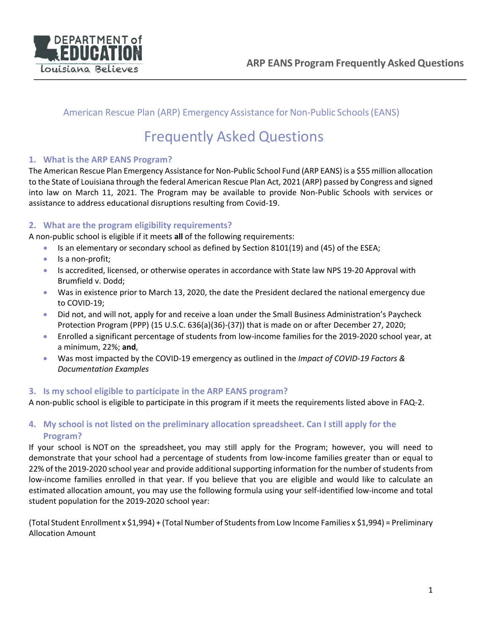

# American Rescue Plan (ARP) Emergency Assistance for Non-Public Schools (EANS)

# Frequently Asked Questions

# **1. What is the ARP EANS Program?**

The American Rescue Plan Emergency Assistance for Non-Public School Fund (ARP EANS) is a \$55 million allocation to the State of Louisiana through the federal American Rescue Plan Act, 2021 (ARP) passed by Congress and signed into law on March 11, 2021. The Program may be available to provide Non-Public Schools with services or assistance to address educational disruptions resulting from Covid-19.

# **2. What are the program eligibility requirements?**

A non-public school is eligible if it meets **all** of the following requirements:

- Is an elementary or secondary school as defined by Section 8101(19) and (45) of the ESEA;
- Is a non-profit;
- Is accredited, licensed, or otherwise operates in accordance with State law NPS 19-20 Approval with Brumfield v. Dodd;
- Was in existence prior to March 13, 2020, the date the President declared the national emergency due to COVID-19;
- Did not, and will not, apply for and receive a loan under the Small Business Administration's Paycheck Protection Program (PPP) (15 U.S.C. 636(a)(36)-(37)) that is made on or after December 27, 2020;
- Enrolled a significant percentage of students from low-income families for the 2019-2020 school year, at a minimum, 22%; **and**,
- Was most impacted by the COVID-19 emergency as outlined in the *Impact of COVID-19 Factors & Documentation Examples*

## **3. Is my school eligible to participate in the ARP EANS program?**

A non-public school is eligible to participate in this program if it meets the requirements listed above in FAQ-2.

# **4. My school is not listed on the preliminary allocation spreadsheet. Can I still apply for the Program?**

If your school is NOT on the spreadsheet, you may still apply for the Program; however, you will need to demonstrate that your school had a percentage of students from low-income families greater than or equal to 22% of the 2019-2020 school year and provide additional supporting information for the number of students from low-income families enrolled in that year. If you believe that you are eligible and would like to calculate an estimated allocation amount, you may use the following formula using your self-identified low-income and total student population for the 2019-2020 school year:

(Total Student Enrollment x \$1,994) + (Total Number of Students from Low Income Families x \$1,994) = Preliminary Allocation Amount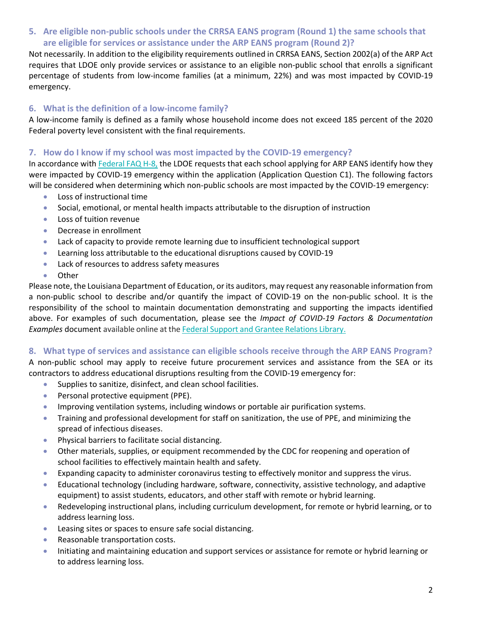**5. Are eligible non-public schools under the CRRSA EANS program (Round 1) the same schools that are eligible for services or assistance under the ARP EANS program (Round 2)?**

Not necessarily. In addition to the eligibility requirements outlined in CRRSA EANS, Section 2002(a) of the ARP Act requires that LDOE only provide services or assistance to an eligible non-public school that enrolls a significant percentage of students from low-income families (at a minimum, 22%) and was most impacted by COVID-19 emergency.

## **6. What is the definition of a low-income family?**

A low-income family is defined as a family whose household income does not exceed 185 percent of the 2020 Federal poverty level consistent with the final requirements.

## **7. How do I know if my school was most impacted by the COVID-19 emergency?**

In accordance wit[h Federal FAQ H-8,](https://oese.ed.gov/files/2021/09/Final-EANS-FAQ-Update-9.17.21.pdf) the LDOE requests that each school applying for ARP EANS identify how they were impacted by COVID-19 emergency within the application (Application Question C1). The following factors will be considered when determining which non-public schools are most impacted by the COVID-19 emergency:

- Loss of instructional time
- Social, emotional, or mental health impacts attributable to the disruption of instruction
- Loss of tuition revenue
- Decrease in enrollment
- Lack of capacity to provide remote learning due to insufficient technological support
- Learning loss attributable to the educational disruptions caused by COVID-19
- Lack of resources to address safety measures
- Other

Please note, the Louisiana Department of Education, or its auditors, may request any reasonable information from a non-public school to describe and/or quantify the impact of COVID-19 on the non-public school. It is the responsibility of the school to maintain documentation demonstrating and supporting the impacts identified above. For examples of such documentation, please see the *Impact of COVID-19 Factors & Documentation Examples* document available online at the Federal Support and Grantee Relations Library.

## **8. What type of services and assistance can eligible schools receive through the ARP EANS Program?**

A non-public school may apply to receive future procurement services and assistance from the SEA or its contractors to address educational disruptions resulting from the COVID-19 emergency for:

- Supplies to sanitize, disinfect, and clean school facilities.
- Personal protective equipment (PPE).
- Improving ventilation systems, including windows or portable air purification systems.
- Training and professional development for staff on sanitization, the use of PPE, and minimizing the spread of infectious diseases.
- Physical barriers to facilitate social distancing.
- Other materials, supplies, or equipment recommended by the CDC for reopening and operation of school facilities to effectively maintain health and safety.
- Expanding capacity to administer coronavirus testing to effectively monitor and suppress the virus.
- Educational technology (including hardware, software, connectivity, assistive technology, and adaptive equipment) to assist students, educators, and other staff with remote or hybrid learning.
- Redeveloping instructional plans, including curriculum development, for remote or hybrid learning, or to address learning loss.
- Leasing sites or spaces to ensure safe social distancing.
- Reasonable transportation costs.
- Initiating and maintaining education and support services or assistance for remote or hybrid learning or to address learning loss.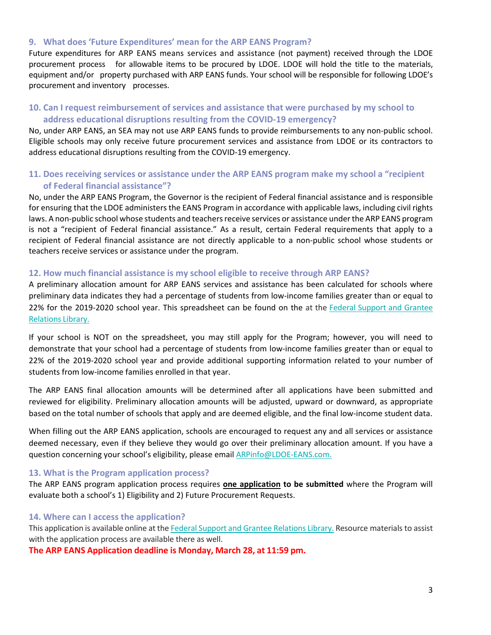#### **9. What does 'Future Expenditures' mean for the ARP EANS Program?**

Future expenditures for ARP EANS means services and assistance (not payment) received through the LDOE procurement process for allowable items to be procured by LDOE. LDOE will hold the title to the materials, equipment and/or property purchased with ARP EANS funds. Your school will be responsible for following LDOE's procurement and inventory processes.

## **10. Can I request reimbursement of services and assistance that were purchased by my school to address educational disruptions resulting from the COVID-19 emergency?**

No, under ARP EANS, an SEA may not use ARP EANS funds to provide reimbursements to any non-public school. Eligible schools may only receive future procurement services and assistance from LDOE or its contractors to address educational disruptions resulting from the COVID-19 emergency.

## **11. Does receiving services or assistance under the ARP EANS program make my school a "recipient of Federal financial assistance"?**

No, under the ARP EANS Program, the Governor is the recipient of Federal financial assistance and is responsible for ensuring that the LDOE administers the EANS Program in accordance with applicable laws, including civil rights laws. A non-public school whose students and teachers receive services or assistance under the ARP EANS program is not a "recipient of Federal financial assistance." As a result, certain Federal requirements that apply to a recipient of Federal financial assistance are not directly applicable to a non-public school whose students or teachers receive services or assistance under the program.

#### **12. How much financial assistance is my school eligible to receive through ARP EANS?**

A preliminary allocation amount for ARP EANS services and assistance has been calculated for schools where preliminary data indicates they had a percentage of students from low-income families greater than or equal to 22% for the 2019-2020 school year. This spreadsheet can be found on the at the Federal Support and Grantee Relations Library.

If your school is NOT on the spreadsheet, you may still apply for the Program; however, you will need to demonstrate that your school had a percentage of students from low-income families greater than or equal to 22% of the 2019-2020 school year and provide additional supporting information related to your number of students from low-income families enrolled in that year.

The ARP EANS final allocation amounts will be determined after all applications have been submitted and reviewed for eligibility. Preliminary allocation amounts will be adjusted, upward or downward, as appropriate based on the total number of schools that apply and are deemed eligible, and the final low-income student data.

When filling out the ARP EANS application, schools are encouraged to request any and all services or assistance deemed necessary, even if they believe they would go over their preliminary allocation amount. If you have a question concerning your school's eligibility, please emai[l ARPinfo@LDOE-EANS.com.](mailto:ARPinfo@LDOE-EANS.com)

#### **13. What is the Program application process?**

The ARP EANS program application process requires **one application to be submitted** where the Program will evaluate both a school's 1) Eligibility and 2) Future Procurement Requests.

#### **14. Where can I access the application?**

This application is available online at the Federal Support and Grantee [Relations](https://www.louisianabelieves.com/resources/library/federal-support-and-grantee-relations-library) Library. Resource materials to assist with the application process are available there as well.

**The ARP EANS Application deadline is Monday, March 28, at 11:59 pm.**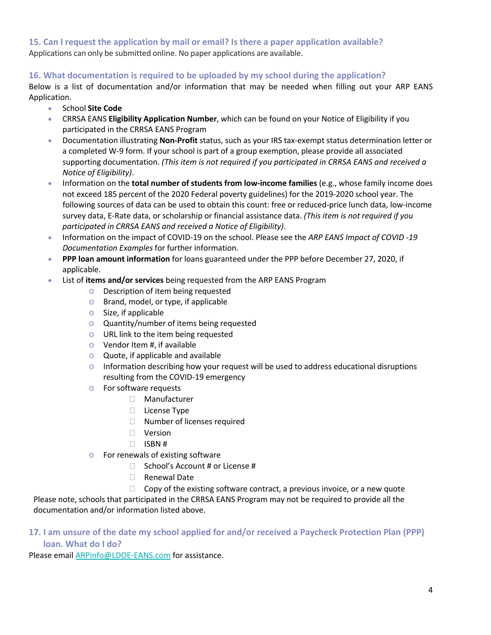**15. Can I request the application by mail or email? Is there a paper application available?** Applications can only be submitted online. No paper applications are available.

## **16. What documentation is required to be uploaded by my school during the application?**

Below is a list of documentation and/or information that may be needed when filling out your ARP EANS Application.

- School **Site Code**
- CRRSA EANS **Eligibility Application Number**, which can be found on your Notice of Eligibility if you participated in the CRRSA EANS Program
- Documentation illustrating **Non-Profit** status, such as your IRS tax-exempt status determination letter or a completed W-9 form. If your school is part of a group exemption, please provide all associated supporting documentation. *(This item is not required if you participated in CRRSA EANS and received a Notice of Eligibility)*.
- Information on the **total number of students from low-income families** (e.g., whose family income does not exceed 185 percent of the 2020 Federal poverty guidelines) for the 2019-2020 school year. The following sources of data can be used to obtain this count: free or reduced-price lunch data, low-income survey data, E-Rate data, or scholarship or financial assistance data. *(This item is not required if you participated in CRRSA EANS and received a Notice of Eligibility)*.
- Information on the impact of COVID-19 on the school. Please see the *ARP EANS Impact of COVID -19 Documentation Examples* for further information.
- **PPP loan amount information** for loans guaranteed under the PPP before December 27, 2020, if applicable.
- List of **items and/or services** being requested from the ARP EANS Program
	- o Description of item being requested
	- o Brand, model, or type, if applicable
	- o Size, if applicable
	- o Quantity/number of items being requested
	- o URL link to the item being requested
	- $\circ$  Vendor Item #, if available
	- o Quote, if applicable and available
	- $\circ$  Information describing how your request will be used to address educational disruptions resulting from the COVID-19 emergency
	- o For software requests
		- Manufacturer
		- D License Type
		- □ Number of licenses required
		- Version
		- $\Box$  ISBN #
	- o For renewals of existing software
		- □ School's Account # or License #
		- □ Renewal Date
		- $\Box$  Copy of the existing software contract, a previous invoice, or a new quote

Please note, schools that participated in the CRRSA EANS Program may not be required to provide all the documentation and/or information listed above.

# **17. I am unsure of the date my school applied for and/or received a Paycheck Protection Plan (PPP) loan. What do I do?**

Please email [ARPinfo@LDOE-EANS.com](mailto:ARPinfo@LDOE-EANS.com) for assistance.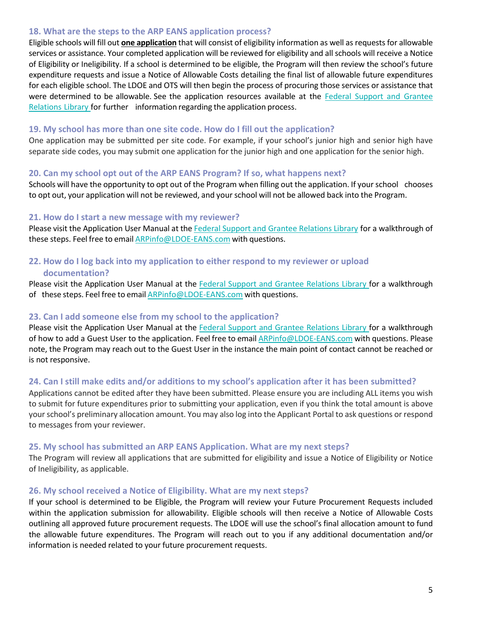#### **18. What are the steps to the ARP EANS application process?**

Eligible schools will fill out **one application** that will consist of eligibility information as well as requests for allowable services or assistance. Your completed application will be reviewed for eligibility and all schools will receive a Notice of Eligibility or Ineligibility. If a school is determined to be eligible, the Program will then review the school's future expenditure requests and issue a Notice of Allowable Costs detailing the final list of allowable future expenditures for each eligible school. The LDOE and OTS will then begin the process of procuring those services or assistance that were determined to be allowable. See the application resources available at the Federal Support and [Grantee](https://www.louisianabelieves.com/resources/library/federal-support-and-grantee-relations-library) [Relations](https://www.louisianabelieves.com/resources/library/federal-support-and-grantee-relations-library) Library for further information regarding the application process.

#### **19. My school has more than one site code. How do I fill out the application?**

One application may be submitted per site code. For example, if your school's junior high and senior high have separate side codes, you may submit one application for the junior high and one application for the senior high.

#### **20. Can my school opt out of the ARP EANS Program? If so, what happens next?**

Schools will have the opportunity to opt out of the Program when filling out the application. If yourschool chooses to opt out, your application will not be reviewed, and yourschool will not be allowed back into the Program.

#### **21. How do I start a new message with my reviewer?**

Please visit the Application User Manual at the Federal Support and Grantee [Relations](https://www.louisianabelieves.com/resources/library/federal-support-and-grantee-relations-library) Library for a walkthrough of these steps. Feel free to email **[ARPinfo@LDOE-EANS.com](mailto:ARPinfo@LDOE-EANS.com)** with questions.

## **22. How do I log back into my application to either respond to my reviewer or upload documentation?**

Please visit the [Application](https://www.louisianabelieves.com/docs/default-source/operations/eans-application-user-manual.pdf?sfvrsn=1bf6718_6) User Manual at the Federal Support and Grantee [Relations](https://www.louisianabelieves.com/resources/library/federal-support-and-grantee-relations-library) Library for a walkthrough of these steps. Feel free to email **[ARPinfo@LDOE-EANS.com](mailto:ARPinfo@LDOE-EANS.com)** with questions.

#### **23. Can I add someone else from my school to the application?**

Please visit the [Application](https://www.louisianabelieves.com/docs/default-source/operations/eans-application-user-manual.pdf?sfvrsn=1bf6718_6) User Manual at the Federal Support and Grantee [Relations](https://www.louisianabelieves.com/resources/library/federal-support-and-grantee-relations-library) Library for a walkthrough of how to add a Guest User to the application. Feel free to email [ARPinfo@LDOE-EANS.com](mailto:ARPinfo@LDOE-EANS.com) with questions. Please note, the Program may reach out to the Guest User in the instance the main point of contact cannot be reached or is not responsive.

#### **24. Can I still make edits and/or additions to my school's application after it has been submitted?**

Applications cannot be edited after they have been submitted. Please ensure you are including ALL items you wish to submit for future expenditures prior to submitting your application, even if you think the total amount is above your school's preliminary allocation amount. You may also log into the Applicant Portal to ask questions or respond to messages from your reviewer.

#### **25. My school has submitted an ARP EANS Application. What are my next steps?**

The Program will review all applications that are submitted for eligibility and issue a Notice of Eligibility or Notice of Ineligibility, as applicable.

#### **26. My school received a Notice of Eligibility. What are my next steps?**

If your school is determined to be Eligible, the Program will review your Future Procurement Requests included within the application submission for allowability. Eligible schools will then receive a Notice of Allowable Costs outlining all approved future procurement requests. The LDOE will use the school's final allocation amount to fund the allowable future expenditures. The Program will reach out to you if any additional documentation and/or information is needed related to your future procurement requests.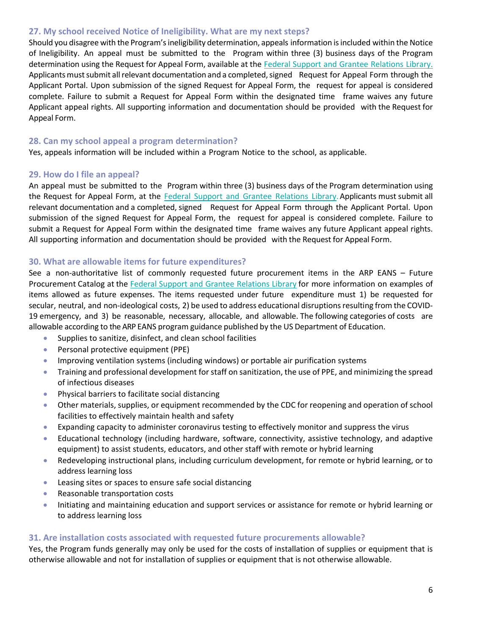#### **27. My school received Notice of Ineligibility. What are my next steps?**

Should you disagree with the Program's ineligibility determination, appeals information is included within the Notice of Ineligibility. An appeal must be submitted to the Program within three (3) business days of the Program determination using the Request for Appeal Form, available at the Federal Support and Grantee [Relations](https://www.louisianabelieves.com/resources/library/federal-support-and-grantee-relations-library) Library. Applicants must submit all relevant documentation and a completed, signed Request for Appeal Form through the Applicant Portal. Upon submission of the signed Request for Appeal Form, the request for appeal is considered complete. Failure to submit a Request for Appeal Form within the designated time frame waives any future Applicant appeal rights. All supporting information and documentation should be provided with the Request for Appeal Form.

#### **28. Can my school appeal a program determination?**

Yes, appeals information will be included within a Program Notice to the school, as applicable.

#### **29. How do I file an appeal?**

An appeal must be submitted to the Program within three (3) business days of the Program determination using the Request for Appeal Form, at the Federal Support and Grantee [Relations](https://www.louisianabelieves.com/resources/library/federal-support-and-grantee-relations-library) Library. Applicants must submit all relevant documentation and a completed, signed Request for Appeal Form through the Applicant Portal. Upon submission of the signed Request for Appeal Form, the request for appeal is considered complete. Failure to submit a Request for Appeal Form within the designated time frame waives any future Applicant appeal rights. All supporting information and documentation should be provided with the Request for Appeal Form.

#### **30. What are allowable items for future expenditures?**

See a non-authoritative list of commonly requested future procurement items in the ARP EANS – Future Procurement Catalog at the Federal Support and Grantee [Relations](https://www.louisianabelieves.com/resources/library/federal-support-and-grantee-relations-library) Library for more information on examples of items allowed as future expenses. The items requested under future expenditure must 1) be requested for secular, neutral, and non-ideological costs, 2) be used to address educational disruptions resulting from the COVID-19 emergency, and 3) be reasonable, necessary, allocable, and allowable. The following categories of costs are allowable according to the ARP EANS program guidance published by the US Department of Education.

- Supplies to sanitize, disinfect, and clean school facilities
- Personal protective equipment (PPE)
- Improving ventilation systems (including windows) or portable air purification systems
- Training and professional development for staff on sanitization, the use of PPE, and minimizing the spread of infectious diseases
- Physical barriers to facilitate social distancing
- Other materials, supplies, or equipment recommended by the CDC for reopening and operation of school facilities to effectively maintain health and safety
- Expanding capacity to administer coronavirus testing to effectively monitor and suppress the virus
- Educational technology (including hardware, software, connectivity, assistive technology, and adaptive equipment) to assist students, educators, and other staff with remote or hybrid learning
- Redeveloping instructional plans, including curriculum development, for remote or hybrid learning, or to address learning loss
- Leasing sites or spaces to ensure safe social distancing
- Reasonable transportation costs
- Initiating and maintaining education and support services or assistance for remote or hybrid learning or to address learning loss

#### **31. Are installation costs associated with requested future procurements allowable?**

Yes, the Program funds generally may only be used for the costs of installation of supplies or equipment that is otherwise allowable and not for installation of supplies or equipment that is not otherwise allowable.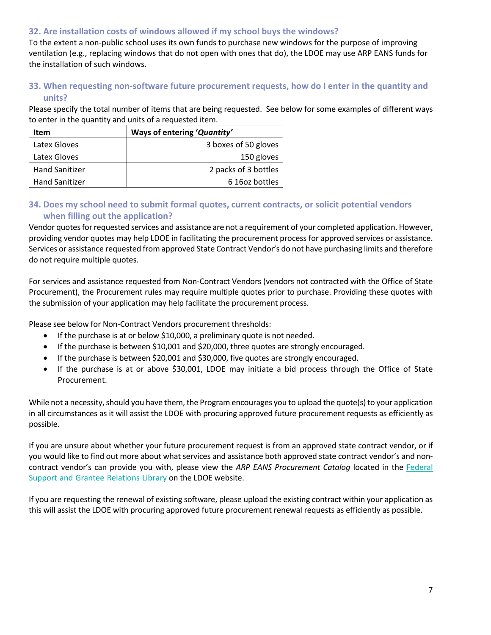## **32. Are installation costs of windows allowed if my school buys the windows?**

To the extent a non-public school uses its own funds to purchase new windows for the purpose of improving ventilation (e.g., replacing windows that do not open with ones that do), the LDOE may use ARP EANS funds for the installation of such windows.

# **33. When requesting non-software future procurement requests, how do I enter in the quantity and units?**

Please specify the total number of items that are being requested. See below for some examples of different ways to enter in the quantity and units of a requested item.

| Item                  | Ways of entering 'Quantity' |
|-----------------------|-----------------------------|
| Latex Gloves          | 3 boxes of 50 gloves        |
| Latex Gloves          | 150 gloves                  |
| <b>Hand Sanitizer</b> | 2 packs of 3 bottles        |
| <b>Hand Sanitizer</b> | 6 16 oz bottles             |

## **34. Does my school need to submit formal quotes, current contracts, or solicit potential vendors when filling out the application?**

Vendor quotes for requested services and assistance are not a requirement of your completed application. However, providing vendor quotes may help LDOE in facilitating the procurement process for approved services or assistance. Services or assistance requested from approved State Contract Vendor's do not have purchasing limits and therefore do not require multiple quotes.

For services and assistance requested from Non-Contract Vendors (vendors not contracted with the Office of State Procurement), the Procurement rules may require multiple quotes prior to purchase. Providing these quotes with the submission of your application may help facilitate the procurement process.

Please see below for Non-Contract Vendors procurement thresholds:

- If the purchase is at or below \$10,000, a preliminary quote is not needed.
- If the purchase is between \$10,001 and \$20,000, three quotes are strongly encouraged.
- If the purchase is between \$20,001 and \$30,000, five quotes are strongly encouraged.
- If the purchase is at or above \$30,001, LDOE may initiate a bid process through the Office of State Procurement.

While not a necessity, should you have them, the Program encourages you to upload the quote(s) to your application in all circumstances as it will assist the LDOE with procuring approved future procurement requests as efficiently as possible.

If you are unsure about whether your future procurement request is from an approved state contract vendor, or if you would like to find out more about what services and assistance both approved state contract vendor's and noncontract vendor's can provide you with, please view the *ARP EANS Procurement Catalog* located in the [Federal](https://www.louisianabelieves.com/resources/library/federal-support-and-grantee-relations-library) Support and Grantee [Relations](https://www.louisianabelieves.com/resources/library/federal-support-and-grantee-relations-library) Library on the LDOE website.

If you are requesting the renewal of existing software, please upload the existing contract within your application as this will assist the LDOE with procuring approved future procurement renewal requests as efficiently as possible.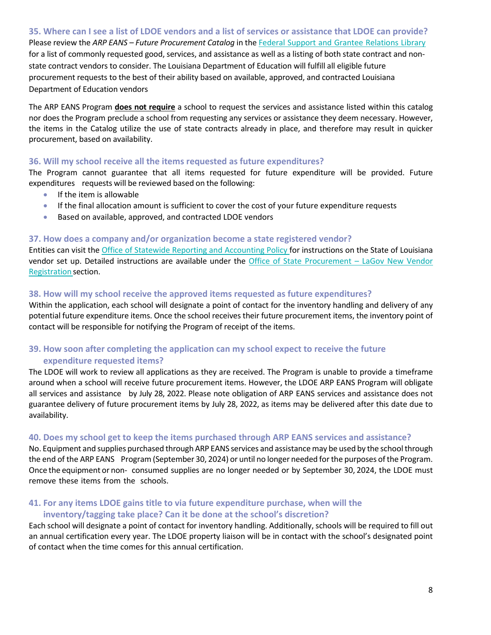**35. Where can I see a list of LDOE vendors and a list of services or assistance that LDOE can provide?**  Please review the *ARP EANS – Future Procurement Catalog* in the Federal Support and Grantee [Relations](https://www.louisianabelieves.com/resources/library/federal-support-and-grantee-relations-library) Library for a list of commonly requested good, services, and assistance as well as a listing of both state contract and nonstate contract vendors to consider. The Louisiana Department of Education will fulfill all eligible future procurement requests to the best of their ability based on available, approved, and contracted Louisiana Department of Education vendors

The ARP EANS Program **does not require** a school to request the services and assistance listed within this catalog nor does the Program preclude a school from requesting any services or assistance they deem necessary. However, the items in the Catalog utilize the use of state contracts already in place, and therefore may result in quicker procurement, based on availability.

#### **36. Will my school receive all the items requested as future expenditures?**

The Program cannot guarantee that all items requested for future expenditure will be provided. Future expenditures requests will be reviewed based on the following:

- If the item is allowable
- If the final allocation amount is sufficient to cover the cost of your future expenditure requests
- Based on available, approved, and contracted LDOE vendors

#### **37. How does a company and/or organization become a state registered vendor?**

Entities can visit the Office of Statewide Reporting and [Accounting](https://www.doa.la.gov/Pages/osrap/IndexOLD2.aspx) Policy for instructions on the State of Louisiana vendor set up. Detailed instructions are available under the Office of State [Procurement](https://www.doa.la.gov/media/gewlb4nk/lagov-vendorregistration.pdf) – LaGov New Vendor [Registration](https://www.doa.la.gov/media/gewlb4nk/lagov-vendorregistration.pdf) section.

#### **38. How will my school receive the approved items requested as future expenditures?**

Within the application, each school will designate a point of contact for the inventory handling and delivery of any potential future expenditure items. Once the school receives their future procurement items, the inventory point of contact will be responsible for notifying the Program of receipt of the items.

# **39. How soon after completing the application can my school expect to receive the future expenditure requested items?**

The LDOE will work to review all applications as they are received. The Program is unable to provide a timeframe around when a school will receive future procurement items. However, the LDOE ARP EANS Program will obligate all services and assistance by July 28, 2022. Please note obligation of ARP EANS services and assistance does not guarantee delivery of future procurement items by July 28, 2022, as items may be delivered after this date due to availability.

#### **40. Does my school get to keep the items purchased through ARP EANS services and assistance?**

No. Equipment and supplies purchased through ARP EANS services and assistancemay be used by the schoolthrough the end of the ARP EANS Program(September 30, 2024) or until no longer needed forthe purposes ofthe Program. Once the equipment or non- consumed supplies are no longer needed or by September 30, 2024, the LDOE must remove these items from the schools.

# **41. For any items LDOE gains title to via future expenditure purchase, when will the**

#### **inventory/tagging take place? Can it be done at the school's discretion?**

Each school will designate a point of contact for inventory handling. Additionally, schools will be required to fill out an annual certification every year. The LDOE property liaison will be in contact with the school's designated point of contact when the time comes for this annual certification.